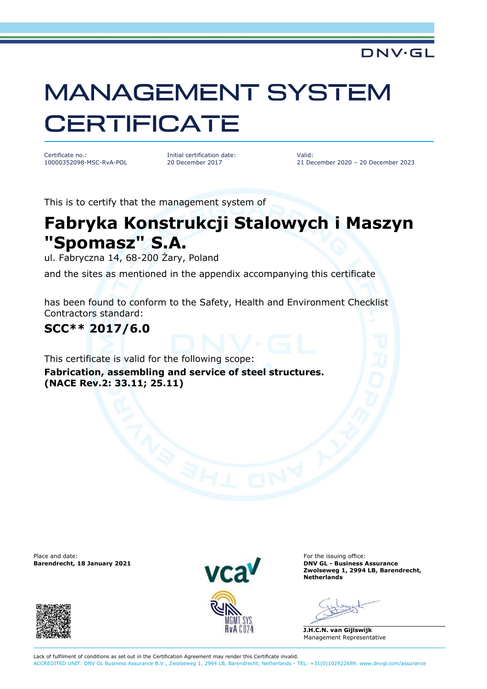#### DNV·GL

# **MANAGEMENT SYSTEM CERTIFICATE**

Certificate no.: 10000352098-MSC-RvA-POL Initial certification date: 20 December 2017

Valid: 21 December 2020 – 20 December 2023

This is to certify that the management system of

## **Fabryka Konstrukcji Stalowych i Maszyn "Spomasz" S.A.**

ul. Fabryczna 14, 68-200 Żary, Poland

and the sites as mentioned in the appendix accompanying this certificate

has been found to conform to the Safety, Health and Environment Checklist Contractors standard:

### **SCC\*\* 2017/6.0**

This certificate is valid for the following scope:

**Fabrication, assembling and service of steel structures. (NACE Rev.2: 33.11; 25.11)**

Place and date: For the issuing office:<br> **Barendrecht. 18 January 2021 Example 2011 Example 2011 Example 2011 Example 2011 Example 2011** 





**Barendrecht, 18 January 2021 DNV GL - Business Assurance Zwolseweg 1, 2994 LB, Barendrecht, Netherlands**

**J.H.C.N. van Gijlswijk** Management Representative

Lack of fulfilment of conditions as set out in the Certification Agreement may render this Certificate invalid. ACCREDITED UNIT: DNV GL Business Assurance B.V., Zwolseweg 1, 2994 LB, Barendrecht, Netherlands - TEL: +31(0)102922689. www.dnvgl.com/assurance